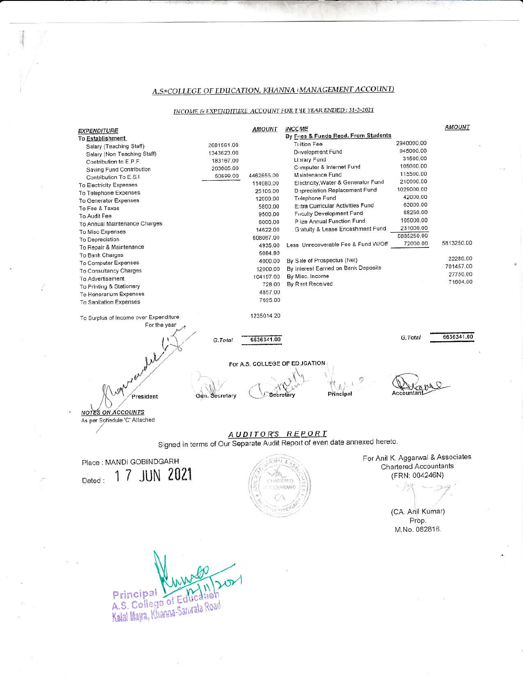## A.S.\*COLLEGE OF EDUCATION, KHANNA (MANAGEMENT ACCOUNT)

## INCOME & EXPENDITURE ACCOUNT FOR THE YEAR ENDED : 31-3-2021

| <b>EXPENDITURE</b>                                                        |                | AMOUNT     | <b>INCCME</b>                       |                                   | AMOUNT     |
|---------------------------------------------------------------------------|----------------|------------|-------------------------------------|-----------------------------------|------------|
| To Establishment                                                          |                |            | By Fres & Funds Recd. From Students |                                   |            |
| Salary (Teaching Staff)                                                   | 2681561.00     |            | <b>Tuition Fee</b>                  | 2940000.00                        |            |
| Salary (Non Teaching Staff)                                               | 1343623.00     |            | Development Fund                    | 945000.00                         |            |
| Contribution to E.P.F.                                                    | 183167.00      |            | Library Fund                        | 31500.00                          |            |
| Saving Fund Contribution                                                  | 203605.00      |            | Computer & Internet Fund            | 105000.00                         |            |
| Contribution To E.S.I                                                     | 50699.00       | 4462655.00 | Maintenance Fund                    | 115500.00                         |            |
| To Electricity Expenses                                                   |                | 114080.00  | Electricity, Water & Generator Fund | 210000.00                         |            |
| To Telephone Expenses                                                     |                | 25106.00   | Depreciation Replacement Fund       | 1029000.00                        |            |
| To Generator Expenses                                                     |                | 12000.00   | Telephone Fund                      | 42000.00                          |            |
| To Fee & Taxes                                                            |                | 5800.00    | E: tra Curricular Activities Fund   | 63000.00                          |            |
| To Audit Fee                                                              |                | 9500.00    | <b>Faculty Development Fund</b>     | 68250.00                          |            |
| To Annual Maintenance Charges                                             |                | 6000.00    | P ize Annual Function Fund          | 105000.00                         |            |
|                                                                           |                | 14622.00   | Gratuity & Lease Encashment Fund    | 231000.00                         |            |
| To Misc Expenses                                                          |                | 608067.00  |                                     | 5885250.00                        |            |
| To Depreciation                                                           |                | 4935.00    | Less Unrecoverable Fee & Fund W/Off | 72000.00                          | 5813250,00 |
| To Repair & Maintenance                                                   |                | 5084.80    |                                     |                                   |            |
| To Bank Charges                                                           |                | 4000.00    | By Sale of Prospectus (Net)         |                                   | 22280.00   |
| To Computer Expenses                                                      |                | 12000.00   | By Interest Earned on Bank Deposits |                                   | 701457.00  |
| To Consultancy Charges                                                    |                | 104197.00  | By Misc. Income                     |                                   | 27750.00   |
| To Advertisement                                                          |                | 728.00     | By Rent Received                    |                                   | 71604.00   |
| To Printing & Stationary                                                  |                | 4857.00    |                                     |                                   |            |
| To Honorarium Expenses                                                    |                | 7695.00    |                                     |                                   |            |
| <b>To Sanitation Expenses</b>                                             |                |            |                                     |                                   |            |
| To Surplus of Income over Expenditure                                     |                | 1235014.20 |                                     |                                   |            |
| For the year                                                              |                |            |                                     |                                   |            |
|                                                                           |                |            |                                     |                                   |            |
|                                                                           | G.Total        | 6636341.00 |                                     | G.Total                           | 6636341.00 |
|                                                                           |                |            |                                     |                                   |            |
|                                                                           |                |            |                                     |                                   |            |
| For A.S. COLLEGE OF ED JCATION                                            |                |            |                                     |                                   |            |
|                                                                           |                |            |                                     |                                   |            |
|                                                                           |                |            |                                     |                                   |            |
|                                                                           |                |            |                                     |                                   |            |
| President                                                                 | Gen. Secretary | Secretary  | Principal                           |                                   |            |
|                                                                           |                |            |                                     |                                   |            |
| <b>NOTES ON ACCOUNTS</b>                                                  |                |            |                                     |                                   |            |
| As per Schedule 'C' Attached                                              |                |            |                                     |                                   |            |
|                                                                           |                |            |                                     |                                   |            |
| AUDITOR'S REPORT                                                          |                |            |                                     |                                   |            |
| Signed in terms of Our Separate Audit Report of even date annexed hereto. |                |            |                                     |                                   |            |
|                                                                           |                |            |                                     |                                   |            |
| Place : MANDI GOBINDGARH                                                  |                |            |                                     | For Anil K. Aggarwal & Associates |            |
|                                                                           |                |            | <b>Chartered Accountants</b>        |                                   |            |
| 1 7 JUN 2021<br>Dated:                                                    |                |            | (FRN: 004246N)                      |                                   |            |
|                                                                           |                | CHASERED   | <b>CONSTANTS</b>                    |                                   |            |
|                                                                           |                |            |                                     |                                   |            |
|                                                                           |                |            |                                     |                                   |            |
|                                                                           |                |            |                                     |                                   |            |
|                                                                           |                |            |                                     | (CA. Anil Kumar)                  |            |
|                                                                           |                |            |                                     | Prop.                             |            |
|                                                                           |                |            |                                     | M.No. 082816.                     |            |
|                                                                           |                |            |                                     |                                   |            |
|                                                                           |                |            |                                     |                                   |            |
|                                                                           |                |            |                                     |                                   |            |

Principal<br>A.S. College of Education<br>Kalal Maya, Khanna-Sarırala Road

 $\frac{1}{4}$